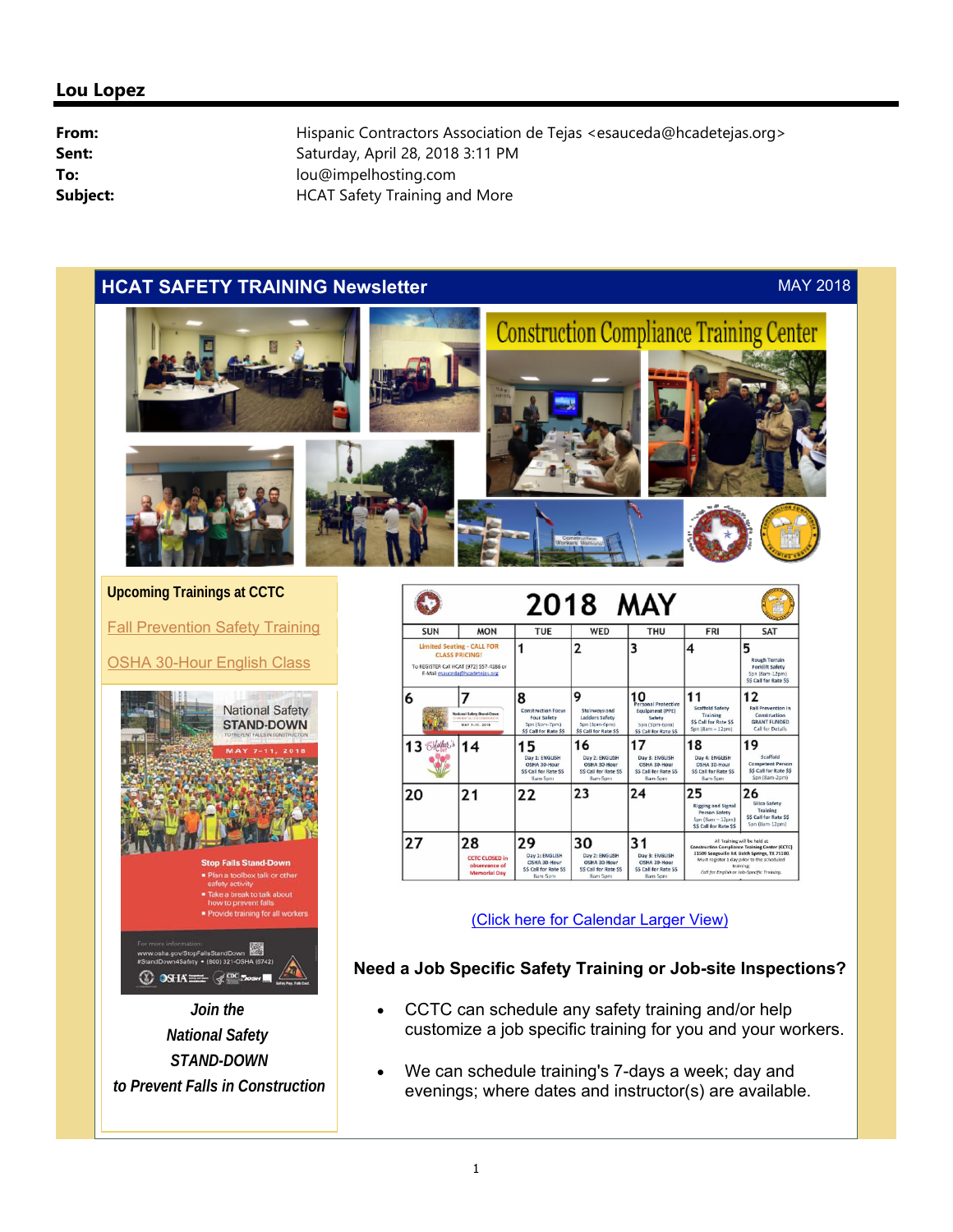# **HCAT SAFETY TRAINING Newsletter** MAY 2018



**Upcoming Trainings at CCTC**

Fall Prevention Safety Training

OSHA 30-Hour English Class



*Join the National Safety STAND-DOWN to Prevent Falls in Construction*

|                                                                                                                                         |                                                                                            |                                                                                                  | 2018 MAY                                                                              |                                                                                                              |                                                                                                                                                                                                                                                 |                                                                                                     |
|-----------------------------------------------------------------------------------------------------------------------------------------|--------------------------------------------------------------------------------------------|--------------------------------------------------------------------------------------------------|---------------------------------------------------------------------------------------|--------------------------------------------------------------------------------------------------------------|-------------------------------------------------------------------------------------------------------------------------------------------------------------------------------------------------------------------------------------------------|-----------------------------------------------------------------------------------------------------|
| <b>SUN</b>                                                                                                                              | <b>MON</b>                                                                                 | <b>TUE</b>                                                                                       | WED                                                                                   | <b>THU</b>                                                                                                   | <b>FRI</b>                                                                                                                                                                                                                                      | SAT                                                                                                 |
| <b>Limited Seating - CALL FOR</b><br><b>CLASS PRICING!</b><br>To REGISTER Call HCAT (972) 557-4186 or<br>E-Mail esauceda@hcadetejas.org |                                                                                            |                                                                                                  | $\overline{2}$                                                                        | 3                                                                                                            | 4                                                                                                                                                                                                                                               | 5<br><b>Rough Terrain</b><br><b>Forklift Safety</b><br>Spn (8am-12pm)<br><b>SS Call for Rate SS</b> |
| 6                                                                                                                                       | <b>National Sulety Stand-Down</b><br>THE PRESENT PALL BUTS COMMITMENT OF<br>MAY 7-11, 2018 | 8<br><b>Construction Focus</b><br><b>Four Safety</b><br>Son (3pm-7pm)<br>\$\$ Call for Rate \$\$ | 9<br>Stairways and<br>Ladders Safety<br>Son (3pm-6pm)<br>\$\$ Call for Rate \$\$      | 10<br>Personal Protective<br><b>Equipment (PPE)</b><br>Safety<br>Spn (3pm-6pm)<br><b>SS Call for Rate SS</b> | 11<br><b>Scaffold Safety</b><br>Training<br><b>SS Call for Rate SS</b><br>Spn $(8am - 12om)$                                                                                                                                                    | 12<br><b>Fall Prevention in</b><br>Construction<br><b>GRANT FUNDED</b><br>Call for Details          |
| 13 <i>Mother</i> , 3                                                                                                                    | 14                                                                                         | 5<br>Day 1: ENGLISH<br>OSHA 30-Hour<br><b>SS Call for Rate SS</b><br>Barn-Sprn                   | 16<br>Day 2: ENGLISH<br>OSHA 30-Hour<br>SS Call for Rate SS<br><b>Barri-Sprn</b>      | 1<br>Day 3: ENGLISH<br>OSHA 30-Hour<br><b>SS Call for Rate SS</b><br>8am-Som                                 | 18<br>Day 4: ENGLISH<br><b>DSHA 30-Hour</b><br><b>SS Call for Rate SS</b><br>8am-Spm                                                                                                                                                            | 19<br>Scaffold<br><b>Competent Person</b><br><b>S\$ Call for Rate \$\$</b><br>Son (Sam-2pm)         |
| 20                                                                                                                                      | 21                                                                                         | 22                                                                                               | 23                                                                                    | 24                                                                                                           | 25<br><b>Rigging and Signal</b><br><b>Person Safety</b><br>Spn (Barn - 12pm)<br><b>SS Call for Rate SS</b>                                                                                                                                      | 26<br>Silica Safety<br>Training<br><b>SS Call for Rate SS</b><br>Son (8am-12pm)                     |
| 27                                                                                                                                      | 28<br><b>CCTC CLOSED in</b><br>observance of<br><b>Memorial Day</b>                        | 29<br>Day 1: ENGLISH<br>OSHA 30-Hour<br><b>SS Call for Rate SS</b><br>Ross Ross                  | 30<br>Day 2: ENGLISH<br>OSHA 30-Hour<br><b>SS Call for Rate SS</b><br>Grove Corporate | 31<br>Day 3: ENGLISH<br>OSHA 30-Hour<br><b>SS Call for Rate SS</b><br><b>Gone Form</b>                       | All Training will be held at<br><b>Construction Compliance Training Center (CCTC)</b><br>11509 Seagoville Rd. Balch Springs, TX 75180.<br>Must register 1 day prior to the scheduled<br>training:<br>Call for English or Job-Specific Training. |                                                                                                     |

(Click here for Calendar Larger View)

# **Need a Job Specific Safety Training or Job-site Inspections?**

- CCTC can schedule any safety training and/or help customize a job specific training for you and your workers.
- We can schedule training's 7-days a week; day and evenings; where dates and instructor(s) are available.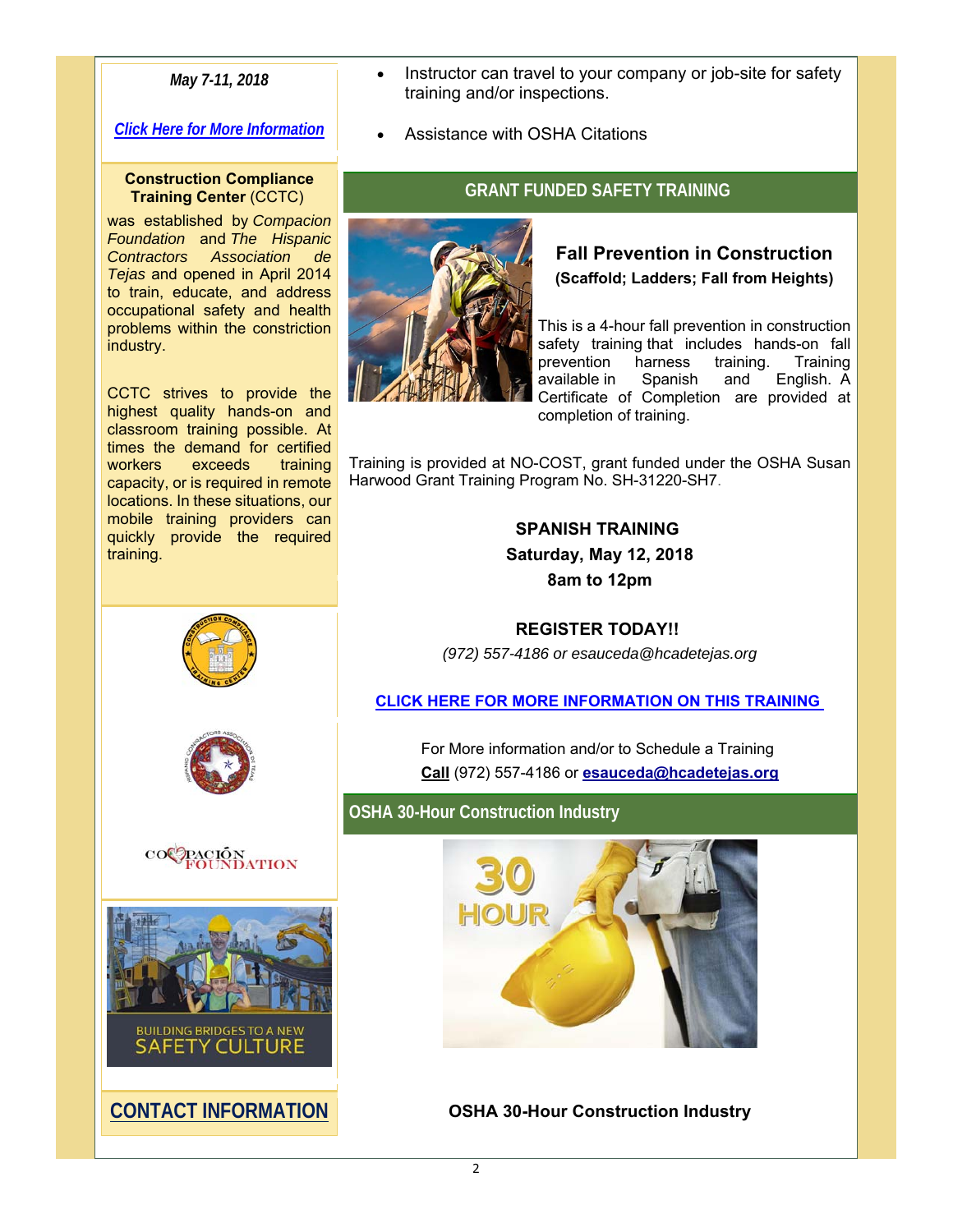# *May 7-11, 2018*

## *Click Here for More Information*

#### **Construction Compliance Training Center** (CCTC)

was established by *Compacion Foundation* and *The Hispanic Contractors Association de Tejas* and opened in April 2014 to train, educate, and address occupational safety and health problems within the constriction industry.

CCTC strives to provide the highest quality hands-on and classroom training possible. At times the demand for certified<br>workers exceeds training workers exceeds capacity, or is required in remote locations. In these situations, our mobile training providers can quickly provide the required training.









**CONTACT INFORMATION**

- Instructor can travel to your company or job-site for safety training and/or inspections.
- Assistance with OSHA Citations

# **GRANT FUNDED SAFETY TRAINING**



# **Fall Prevention in Construction (Scaffold; Ladders; Fall from Heights)**

This is a 4-hour fall prevention in construction safety training that includes hands-on fall prevention harness training. Training available in Spanish and English. A Certificate of Completion are provided at completion of training.

Training is provided at NO-COST, grant funded under the OSHA Susan Harwood Grant Training Program No. SH-31220-SH7.

> **SPANISH TRAINING Saturday, May 12, 2018 8am to 12pm**

# **REGISTER TODAY!!**

*(972) 557-4186 or esauceda@hcadetejas.org*

### **CLICK HERE FOR MORE INFORMATION ON THIS TRAINING**

For More information and/or to Schedule a Training **Call** (972) 557-4186 or **esauceda@hcadetejas.org**

**OSHA 30-Hour Construction Industry**



**OSHA 30-Hour Construction Industry**